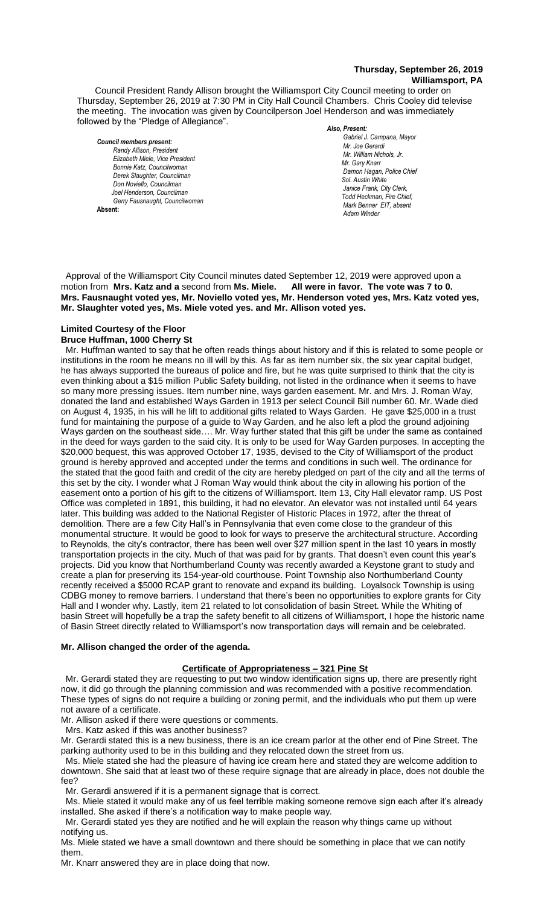#### **Thursday, September 26, 2019 Williamsport, PA**

Council President Randy Allison brought the Williamsport City Council meeting to order on Thursday, September 26, 2019 at 7:30 PM in City Hall Council Chambers. Chris Cooley did televise the meeting. The invocation was given by Councilperson Joel Henderson and was immediately followed by the "Pledge of Allegiance".

*Council members present: Randy Allison, President , President*   $E$ lizabeth Miele, Vice President *Bonnie Katz, Councilwoman Derek Slaughter, Councilman Don Noviello, Councilman Joel Henderson, Councilman Gerry Fausnaught, Councilwoman*  **Absent:** 

*Also, Present: Gabriel J. Campana, Mayor Mr. Joe Gerardi Mr. Joseph Pawlak Mr. William Nichols, Jr. Mr. Joe Pawlak Mr. Gary Knarr*  $D$ amon Hagan, Police Chief  *Sol. Austin White Janice Frank, City Clerk, Todd Heckman, Fire Chief,*  $A$ *Mark Benner EIT, absent Mr. Joe Pawlak Adam Winder*

 Approval of the Williamsport City Council minutes dated September 12, 2019 were approved upon a **motion from Mrs. Katz and a** second from Ms. Miele. Mrs. Fausnaught voted yes, Mr. Noviello voted yes, Mr. Henderson voted yes, Mrs. Katz voted yes, **Mr. Slaughter voted yes, Ms. Miele voted yes. and Mr. Allison voted yes.**  *. Mr. Joe Pawlak Mr. Tom Cillo C. Dean Heinbach, Fire Chief*

#### **Limited Courtesy of the Floor**

#### **Bruce Huffman, 1000 Cherry St**

 Mr. Huffman wanted to say that he often reads things about history and if this is related to some people or institutions in the room he means no ill will by this. As far as item number six, the six year capital budget, he has always supported the bureaus of police and fire, but he was quite surprised to think that the city is even thinking about a \$15 million Public Safety building, not listed in the ordinance when it seems to have so many more pressing issues. Item number nine, ways garden easement. Mr. and Mrs. J. Roman Way, donated the land and established Ways Garden in 1913 per select Council Bill number 60. Mr. Wade died on August 4, 1935, in his will he lift to additional gifts related to Ways Garden. He gave \$25,000 in a trust fund for maintaining the purpose of a guide to Way Garden, and he also left a plod the ground adjoining Ways garden on the southeast side.... Mr. Way further stated that this gift be under the same as contained in the deed for ways garden to the said city. It is only to be used for Way Garden purposes. In accepting the \$20,000 bequest, this was approved October 17, 1935, devised to the City of Williamsport of the product ground is hereby approved and accepted under the terms and conditions in such well. The ordinance for the stated that the good faith and credit of the city are hereby pledged on part of the city and all the terms of this set by the city. I wonder what J Roman Way would think about the city in allowing his portion of the easement onto a portion of his gift to the citizens of Williamsport. Item 13, City Hall elevator ramp. US Post Office was completed in 1891, this building, it had no elevator. An elevator was not installed until 64 years later. This building was added to the National Register of Historic Places in 1972, after the threat of demolition. There are a few City Hall's in Pennsylvania that even come close to the grandeur of this monumental structure. It would be good to look for ways to preserve the architectural structure. According to Reynolds, the city's contractor, there has been well over \$27 million spent in the last 10 years in mostly transportation projects in the city. Much of that was paid for by grants. That doesn't even count this year's projects. Did you know that Northumberland County was recently awarded a Keystone grant to study and create a plan for preserving its 154-year-old courthouse. Point Township also Northumberland County recently received a \$5000 RCAP grant to renovate and expand its building. Loyalsock Township is using CDBG money to remove barriers. I understand that there's been no opportunities to explore grants for City Hall and I wonder why. Lastly, item 21 related to lot consolidation of basin Street. While the Whiting of basin Street will hopefully be a trap the safety benefit to all citizens of Williamsport, I hope the historic name of Basin Street directly related to Williamsport's now transportation days will remain and be celebrated. 

#### **Mr. Allison changed the order of the agenda.**

#### **Certificate of Appropriateness – 321 Pine St**

 Mr. Gerardi stated they are requesting to put two window identification signs up, there are presently right now, it did go through the planning commission and was recommended with a positive recommendation. These types of signs do not require a building or zoning permit, and the individuals who put them up were not aware of a certificate.

Mr. Allison asked if there were questions or comments.

Mrs. Katz asked if this was another business?

Mr. Gerardi stated this is a new business, there is an ice cream parlor at the other end of Pine Street. The parking authority used to be in this building and they relocated down the street from us.

 Ms. Miele stated she had the pleasure of having ice cream here and stated they are welcome addition to downtown. She said that at least two of these require signage that are already in place, does not double the fee?

Mr. Gerardi answered if it is a permanent signage that is correct.

 Ms. Miele stated it would make any of us feel terrible making someone remove sign each after it's already installed. She asked if there's a notification way to make people way.

 Mr. Gerardi stated yes they are notified and he will explain the reason why things came up without notifying us.

Ms. Miele stated we have a small downtown and there should be something in place that we can notify them.

Mr. Knarr answered they are in place doing that now.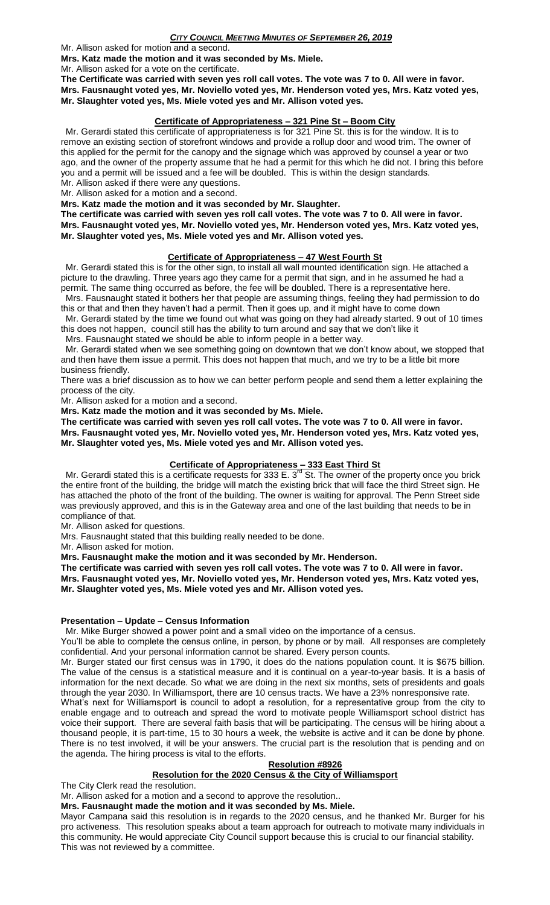Mr. Allison asked for motion and a second.

**Mrs. Katz made the motion and it was seconded by Ms. Miele.**

Mr. Allison asked for a vote on the certificate.

**The Certificate was carried with seven yes roll call votes. The vote was 7 to 0. All were in favor. Mrs. Fausnaught voted yes, Mr. Noviello voted yes, Mr. Henderson voted yes, Mrs. Katz voted yes, Mr. Slaughter voted yes, Ms. Miele voted yes and Mr. Allison voted yes.**

#### **Certificate of Appropriateness – 321 Pine St – Boom City**

 Mr. Gerardi stated this certificate of appropriateness is for 321 Pine St. this is for the window. It is to remove an existing section of storefront windows and provide a rollup door and wood trim. The owner of this applied for the permit for the canopy and the signage which was approved by counsel a year or two ago, and the owner of the property assume that he had a permit for this which he did not. I bring this before you and a permit will be issued and a fee will be doubled. This is within the design standards. Mr. Allison asked if there were any questions.

Mr. Allison asked for a motion and a second.

**Mrs. Katz made the motion and it was seconded by Mr. Slaughter.**

**The certificate was carried with seven yes roll call votes. The vote was 7 to 0. All were in favor. Mrs. Fausnaught voted yes, Mr. Noviello voted yes, Mr. Henderson voted yes, Mrs. Katz voted yes, Mr. Slaughter voted yes, Ms. Miele voted yes and Mr. Allison voted yes.**

#### **Certificate of Appropriateness – 47 West Fourth St**

 Mr. Gerardi stated this is for the other sign, to install all wall mounted identification sign. He attached a picture to the drawling. Three years ago they came for a permit that sign, and in he assumed he had a permit. The same thing occurred as before, the fee will be doubled. There is a representative here.

 Mrs. Fausnaught stated it bothers her that people are assuming things, feeling they had permission to do this or that and then they haven't had a permit. Then it goes up, and it might have to come down

 Mr. Gerardi stated by the time we found out what was going on they had already started. 9 out of 10 times this does not happen, council still has the ability to turn around and say that we don't like it

Mrs. Fausnaught stated we should be able to inform people in a better way.

 Mr. Gerardi stated when we see something going on downtown that we don't know about, we stopped that and then have them issue a permit. This does not happen that much, and we try to be a little bit more business friendly.

There was a brief discussion as to how we can better perform people and send them a letter explaining the process of the city.

Mr. Allison asked for a motion and a second.

**Mrs. Katz made the motion and it was seconded by Ms. Miele.**

**The certificate was carried with seven yes roll call votes. The vote was 7 to 0. All were in favor. Mrs. Fausnaught voted yes, Mr. Noviello voted yes, Mr. Henderson voted yes, Mrs. Katz voted yes, Mr. Slaughter voted yes, Ms. Miele voted yes and Mr. Allison voted yes.**

## **Certificate of Appropriateness – 333 East Third St**

Mr. Gerardi stated this is a certificate requests for 333 E. 3<sup>rd</sup> St. The owner of the property once you brick the entire front of the building, the bridge will match the existing brick that will face the third Street sign. He has attached the photo of the front of the building. The owner is waiting for approval. The Penn Street side was previously approved, and this is in the Gateway area and one of the last building that needs to be in compliance of that.

Mr. Allison asked for questions.

Mrs. Fausnaught stated that this building really needed to be done.

Mr. Allison asked for motion.

**Mrs. Fausnaught make the motion and it was seconded by Mr. Henderson.**

**The certificate was carried with seven yes roll call votes. The vote was 7 to 0. All were in favor. Mrs. Fausnaught voted yes, Mr. Noviello voted yes, Mr. Henderson voted yes, Mrs. Katz voted yes,** 

**Mr. Slaughter voted yes, Ms. Miele voted yes and Mr. Allison voted yes.**

#### **Presentation – Update – Census Information**

Mr. Mike Burger showed a power point and a small video on the importance of a census.

You'll be able to complete the census online, in person, by phone or by mail. All responses are completely confidential. And your personal information cannot be shared. Every person counts.

Mr. Burger stated our first census was in 1790, it does do the nations population count. It is \$675 billion. The value of the census is a statistical measure and it is continual on a year-to-year basis. It is a basis of information for the next decade. So what we are doing in the next six months, sets of presidents and goals through the year 2030. In Williamsport, there are 10 census tracts. We have a 23% nonresponsive rate.

What's next for Williamsport is council to adopt a resolution, for a representative group from the city to enable engage and to outreach and spread the word to motivate people Williamsport school district has voice their support. There are several faith basis that will be participating. The census will be hiring about a thousand people, it is part-time, 15 to 30 hours a week, the website is active and it can be done by phone. There is no test involved, it will be your answers. The crucial part is the resolution that is pending and on the agenda. The hiring process is vital to the efforts.

#### **Resolution #8926**

## **Resolution for the 2020 Census & the City of Williamsport**

The City Clerk read the resolution.

Mr. Allison asked for a motion and a second to approve the resolution..

**Mrs. Fausnaught made the motion and it was seconded by Ms. Miele.**

Mayor Campana said this resolution is in regards to the 2020 census, and he thanked Mr. Burger for his pro activeness. This resolution speaks about a team approach for outreach to motivate many individuals in this community. He would appreciate City Council support because this is crucial to our financial stability. This was not reviewed by a committee.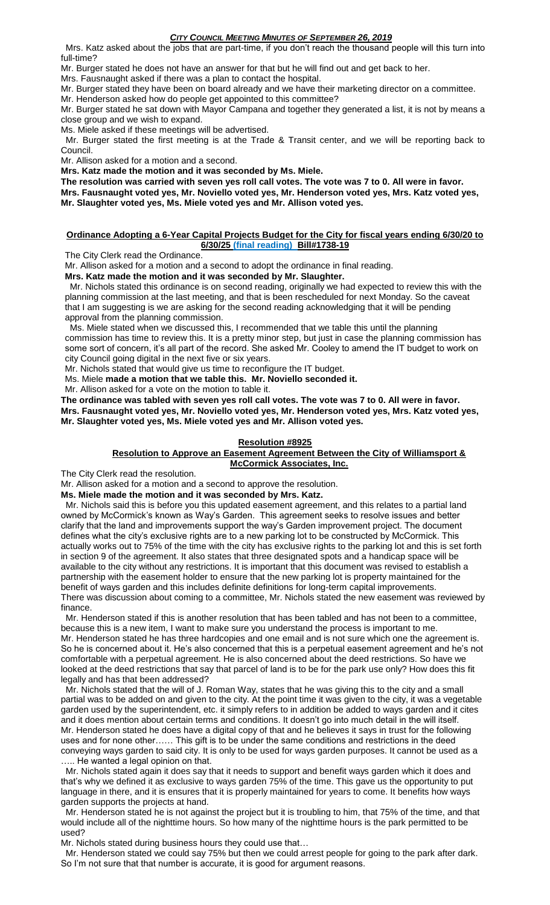Mrs. Katz asked about the jobs that are part-time, if you don't reach the thousand people will this turn into full-time?

Mr. Burger stated he does not have an answer for that but he will find out and get back to her.

Mrs. Fausnaught asked if there was a plan to contact the hospital.

Mr. Burger stated they have been on board already and we have their marketing director on a committee.

Mr. Henderson asked how do people get appointed to this committee?

Mr. Burger stated he sat down with Mayor Campana and together they generated a list, it is not by means a close group and we wish to expand.

Ms. Miele asked if these meetings will be advertised.

 Mr. Burger stated the first meeting is at the Trade & Transit center, and we will be reporting back to Council.

Mr. Allison asked for a motion and a second.

**Mrs. Katz made the motion and it was seconded by Ms. Miele.**

**The resolution was carried with seven yes roll call votes. The vote was 7 to 0. All were in favor. Mrs. Fausnaught voted yes, Mr. Noviello voted yes, Mr. Henderson voted yes, Mrs. Katz voted yes,** 

**Mr. Slaughter voted yes, Ms. Miele voted yes and Mr. Allison voted yes.**

#### **Ordinance Adopting a 6-Year Capital Projects Budget for the City for fiscal years ending 6/30/20 to 6/30/25 (final reading) Bill#1738-19**

The City Clerk read the Ordinance.

Mr. Allison asked for a motion and a second to adopt the ordinance in final reading.

**Mrs. Katz made the motion and it was seconded by Mr. Slaughter.**

 Mr. Nichols stated this ordinance is on second reading, originally we had expected to review this with the planning commission at the last meeting, and that is been rescheduled for next Monday. So the caveat that I am suggesting is we are asking for the second reading acknowledging that it will be pending approval from the planning commission.

 Ms. Miele stated when we discussed this, I recommended that we table this until the planning commission has time to review this. It is a pretty minor step, but just in case the planning commission has some sort of concern, it's all part of the record. She asked Mr. Cooley to amend the IT budget to work on city Council going digital in the next five or six years.

Mr. Nichols stated that would give us time to reconfigure the IT budget.

Ms. Miele **made a motion that we table this. Mr. Noviello seconded it.**

Mr. Allison asked for a vote on the motion to table it.

**The ordinance was tabled with seven yes roll call votes. The vote was 7 to 0. All were in favor. Mrs. Fausnaught voted yes, Mr. Noviello voted yes, Mr. Henderson voted yes, Mrs. Katz voted yes, Mr. Slaughter voted yes, Ms. Miele voted yes and Mr. Allison voted yes.**

#### **Resolution #8925**

#### **Resolution to Approve an Easement Agreement Between the City of Williamsport & McCormick Associates, Inc.**

The City Clerk read the resolution.

Mr. Allison asked for a motion and a second to approve the resolution.

**Ms. Miele made the motion and it was seconded by Mrs. Katz.**

 Mr. Nichols said this is before you this updated easement agreement, and this relates to a partial land owned by McCormick's known as Way's Garden. This agreement seeks to resolve issues and better clarify that the land and improvements support the way's Garden improvement project. The document defines what the city's exclusive rights are to a new parking lot to be constructed by McCormick. This actually works out to 75% of the time with the city has exclusive rights to the parking lot and this is set forth in section 9 of the agreement. It also states that three designated spots and a handicap space will be available to the city without any restrictions. It is important that this document was revised to establish a partnership with the easement holder to ensure that the new parking lot is property maintained for the benefit of ways garden and this includes definite definitions for long-term capital improvements. There was discussion about coming to a committee, Mr. Nichols stated the new easement was reviewed by finance.

 Mr. Henderson stated if this is another resolution that has been tabled and has not been to a committee, because this is a new item, I want to make sure you understand the process is important to me. Mr. Henderson stated he has three hardcopies and one email and is not sure which one the agreement is. So he is concerned about it. He's also concerned that this is a perpetual easement agreement and he's not comfortable with a perpetual agreement. He is also concerned about the deed restrictions. So have we looked at the deed restrictions that say that parcel of land is to be for the park use only? How does this fit legally and has that been addressed?

 Mr. Nichols stated that the will of J. Roman Way, states that he was giving this to the city and a small partial was to be added on and given to the city. At the point time it was given to the city, it was a vegetable garden used by the superintendent, etc. it simply refers to in addition be added to ways garden and it cites and it does mention about certain terms and conditions. It doesn't go into much detail in the will itself. Mr. Henderson stated he does have a digital copy of that and he believes it says in trust for the following uses and for none other…… This gift is to be under the same conditions and restrictions in the deed conveying ways garden to said city. It is only to be used for ways garden purposes. It cannot be used as a .... He wanted a legal opinion on that.

 Mr. Nichols stated again it does say that it needs to support and benefit ways garden which it does and that's why we defined it as exclusive to ways garden 75% of the time. This gave us the opportunity to put language in there, and it is ensures that it is properly maintained for years to come. It benefits how ways garden supports the projects at hand.

 Mr. Henderson stated he is not against the project but it is troubling to him, that 75% of the time, and that would include all of the nighttime hours. So how many of the nighttime hours is the park permitted to be used?

Mr. Nichols stated during business hours they could use that…

 Mr. Henderson stated we could say 75% but then we could arrest people for going to the park after dark. So I'm not sure that that number is accurate, it is good for argument reasons.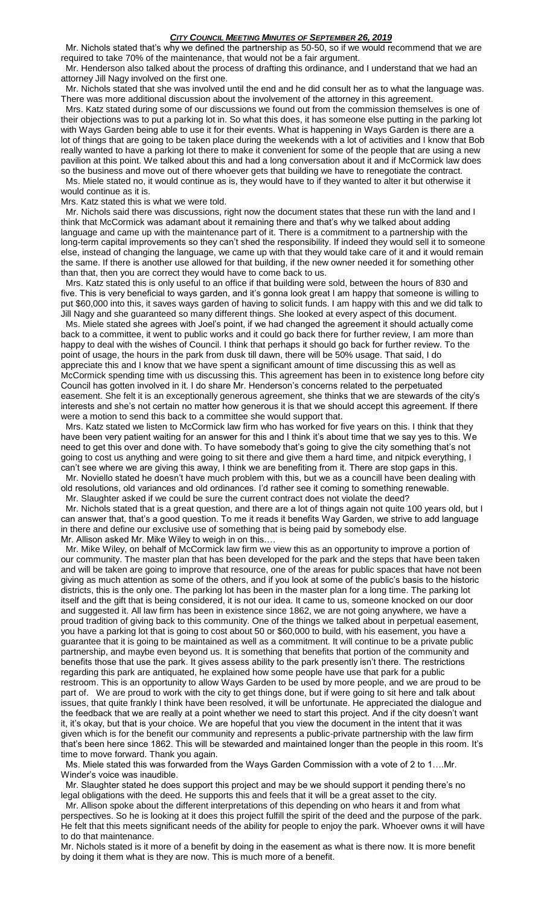Mr. Nichols stated that's why we defined the partnership as 50-50, so if we would recommend that we are required to take 70% of the maintenance, that would not be a fair argument.

 Mr. Henderson also talked about the process of drafting this ordinance, and I understand that we had an attorney Jill Nagy involved on the first one.

 Mr. Nichols stated that she was involved until the end and he did consult her as to what the language was. There was more additional discussion about the involvement of the attorney in this agreement.

 Mrs. Katz stated during some of our discussions we found out from the commission themselves is one of their objections was to put a parking lot in. So what this does, it has someone else putting in the parking lot with Ways Garden being able to use it for their events. What is happening in Ways Garden is there are a lot of things that are going to be taken place during the weekends with a lot of activities and I know that Bob really wanted to have a parking lot there to make it convenient for some of the people that are using a new pavilion at this point. We talked about this and had a long conversation about it and if McCormick law does so the business and move out of there whoever gets that building we have to renegotiate the contract.

 Ms. Miele stated no, it would continue as is, they would have to if they wanted to alter it but otherwise it would continue as it is.

Mrs. Katz stated this is what we were told.

 Mr. Nichols said there was discussions, right now the document states that these run with the land and I think that McCormick was adamant about it remaining there and that's why we talked about adding language and came up with the maintenance part of it. There is a commitment to a partnership with the long-term capital improvements so they can't shed the responsibility. If indeed they would sell it to someone else, instead of changing the language, we came up with that they would take care of it and it would remain the same. If there is another use allowed for that building, if the new owner needed it for something other than that, then you are correct they would have to come back to us.

 Mrs. Katz stated this is only useful to an office if that building were sold, between the hours of 830 and five. This is very beneficial to ways garden, and it's gonna look great I am happy that someone is willing to put \$60,000 into this, it saves ways garden of having to solicit funds. I am happy with this and we did talk to Jill Nagy and she guaranteed so many different things. She looked at every aspect of this document.

 Ms. Miele stated she agrees with Joel's point, if we had changed the agreement it should actually come back to a committee, it went to public works and it could go back there for further review, I am more than happy to deal with the wishes of Council. I think that perhaps it should go back for further review. To the point of usage, the hours in the park from dusk till dawn, there will be 50% usage. That said, I do appreciate this and I know that we have spent a significant amount of time discussing this as well as McCormick spending time with us discussing this. This agreement has been in to existence long before city Council has gotten involved in it. I do share Mr. Henderson's concerns related to the perpetuated easement. She felt it is an exceptionally generous agreement, she thinks that we are stewards of the city's interests and she's not certain no matter how generous it is that we should accept this agreement. If there were a motion to send this back to a committee she would support that.

 Mrs. Katz stated we listen to McCormick law firm who has worked for five years on this. I think that they have been very patient waiting for an answer for this and I think it's about time that we say yes to this. We need to get this over and done with. To have somebody that's going to give the city something that's not going to cost us anything and were going to sit there and give them a hard time, and nitpick everything, I can't see where we are giving this away, I think we are benefiting from it. There are stop gaps in this.

 Mr. Noviello stated he doesn't have much problem with this, but we as a councill have been dealing with old resolutions, old variances and old ordinances. I'd rather see it coming to something renewable. Mr. Slaughter asked if we could be sure the current contract does not violate the deed?

 Mr. Nichols stated that is a great question, and there are a lot of things again not quite 100 years old, but I can answer that, that's a good question. To me it reads it benefits Way Garden, we strive to add language in there and define our exclusive use of something that is being paid by somebody else. Mr. Allison asked Mr. Mike Wiley to weigh in on this….

 Mr. Mike Wiley, on behalf of McCormick law firm we view this as an opportunity to improve a portion of our community. The master plan that has been developed for the park and the steps that have been taken and will be taken are going to improve that resource, one of the areas for public spaces that have not been giving as much attention as some of the others, and if you look at some of the public's basis to the historic districts, this is the only one. The parking lot has been in the master plan for a long time. The parking lot itself and the gift that is being considered, it is not our idea. It came to us, someone knocked on our door and suggested it. All law firm has been in existence since 1862, we are not going anywhere, we have a proud tradition of giving back to this community. One of the things we talked about in perpetual easement, you have a parking lot that is going to cost about 50 or \$60,000 to build, with his easement, you have a guarantee that it is going to be maintained as well as a commitment. It will continue to be a private public partnership, and maybe even beyond us. It is something that benefits that portion of the community and benefits those that use the park. It gives assess ability to the park presently isn't there. The restrictions regarding this park are antiquated, he explained how some people have use that park for a public restroom. This is an opportunity to allow Ways Garden to be used by more people, and we are proud to be part of. We are proud to work with the city to get things done, but if were going to sit here and talk about issues, that quite frankly I think have been resolved, it will be unfortunate. He appreciated the dialogue and the feedback that we are really at a point whether we need to start this project. And if the city doesn't want it, it's okay, but that is your choice. We are hopeful that you view the document in the intent that it was given which is for the benefit our community and represents a public-private partnership with the law firm that's been here since 1862. This will be stewarded and maintained longer than the people in this room. It's time to move forward. Thank you again.

 Ms. Miele stated this was forwarded from the Ways Garden Commission with a vote of 2 to 1….Mr. Winder's voice was inaudible.

 Mr. Slaughter stated he does support this project and may be we should support it pending there's no legal obligations with the deed. He supports this and feels that it will be a great asset to the city.

 Mr. Allison spoke about the different interpretations of this depending on who hears it and from what perspectives. So he is looking at it does this project fulfill the spirit of the deed and the purpose of the park. He felt that this meets significant needs of the ability for people to enjoy the park. Whoever owns it will have to do that maintenance.

Mr. Nichols stated is it more of a benefit by doing in the easement as what is there now. It is more benefit by doing it them what is they are now. This is much more of a benefit.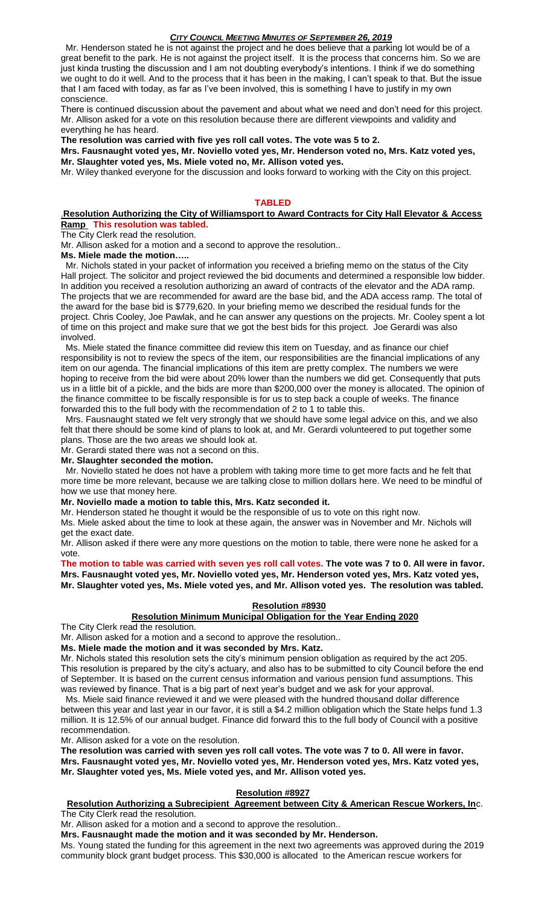Mr. Henderson stated he is not against the project and he does believe that a parking lot would be of a great benefit to the park. He is not against the project itself. It is the process that concerns him. So we are just kinda trusting the discussion and I am not doubting everybody's intentions. I think if we do something we ought to do it well. And to the process that it has been in the making, I can't speak to that. But the issue that I am faced with today, as far as I've been involved, this is something I have to justify in my own conscience.

There is continued discussion about the pavement and about what we need and don't need for this project. Mr. Allison asked for a vote on this resolution because there are different viewpoints and validity and everything he has heard.

**The resolution was carried with five yes roll call votes. The vote was 5 to 2.**

**Mrs. Fausnaught voted yes, Mr. Noviello voted yes, Mr. Henderson voted no, Mrs. Katz voted yes, Mr. Slaughter voted yes, Ms. Miele voted no, Mr. Allison voted yes.**

Mr. Wiley thanked everyone for the discussion and looks forward to working with the City on this project.

#### **TABLED**

## .**Resolution Authorizing the City of Williamsport to Award Contracts for City Hall Elevator & Access Ramp This resolution was tabled.**

#### The City Clerk read the resolution.

Mr. Allison asked for a motion and a second to approve the resolution..

**Ms. Miele made the motion…..**

 Mr. Nichols stated in your packet of information you received a briefing memo on the status of the City Hall project. The solicitor and project reviewed the bid documents and determined a responsible low bidder. In addition you received a resolution authorizing an award of contracts of the elevator and the ADA ramp. The projects that we are recommended for award are the base bid, and the ADA access ramp. The total of the award for the base bid is \$779,620. In your briefing memo we described the residual funds for the project. Chris Cooley, Joe Pawlak, and he can answer any questions on the projects. Mr. Cooley spent a lot of time on this project and make sure that we got the best bids for this project. Joe Gerardi was also involved.

 Ms. Miele stated the finance committee did review this item on Tuesday, and as finance our chief responsibility is not to review the specs of the item, our responsibilities are the financial implications of any item on our agenda. The financial implications of this item are pretty complex. The numbers we were hoping to receive from the bid were about 20% lower than the numbers we did get. Consequently that puts us in a little bit of a pickle, and the bids are more than \$200,000 over the money is allocated. The opinion of the finance committee to be fiscally responsible is for us to step back a couple of weeks. The finance forwarded this to the full body with the recommendation of 2 to 1 to table this.

 Mrs. Fausnaught stated we felt very strongly that we should have some legal advice on this, and we also felt that there should be some kind of plans to look at, and Mr. Gerardi volunteered to put together some plans. Those are the two areas we should look at.

Mr. Gerardi stated there was not a second on this.

#### **Mr. Slaughter seconded the motion.**

 Mr. Noviello stated he does not have a problem with taking more time to get more facts and he felt that more time be more relevant, because we are talking close to million dollars here. We need to be mindful of how we use that money here.

#### **Mr. Noviello made a motion to table this, Mrs. Katz seconded it.**

Mr. Henderson stated he thought it would be the responsible of us to vote on this right now.

Ms. Miele asked about the time to look at these again, the answer was in November and Mr. Nichols will get the exact date.

Mr. Allison asked if there were any more questions on the motion to table, there were none he asked for a vote.

**The motion to table was carried with seven yes roll call votes. The vote was 7 to 0. All were in favor. Mrs. Fausnaught voted yes, Mr. Noviello voted yes, Mr. Henderson voted yes, Mrs. Katz voted yes, Mr. Slaughter voted yes, Ms. Miele voted yes, and Mr. Allison voted yes. The resolution was tabled.**

## **Resolution #8930**

#### **Resolution Minimum Municipal Obligation for the Year Ending 2020**

The City Clerk read the resolution.

Mr. Allison asked for a motion and a second to approve the resolution..

**Ms. Miele made the motion and it was seconded by Mrs. Katz.**

Mr. Nichols stated this resolution sets the city's minimum pension obligation as required by the act 205. This resolution is prepared by the city's actuary, and also has to be submitted to city Council before the end of September. It is based on the current census information and various pension fund assumptions. This was reviewed by finance. That is a big part of next year's budget and we ask for your approval.

 Ms. Miele said finance reviewed it and we were pleased with the hundred thousand dollar difference between this year and last year in our favor, it is still a \$4.2 million obligation which the State helps fund 1.3 million. It is 12.5% of our annual budget. Finance did forward this to the full body of Council with a positive recommendation.

Mr. Allison asked for a vote on the resolution.

**The resolution was carried with seven yes roll call votes. The vote was 7 to 0. All were in favor. Mrs. Fausnaught voted yes, Mr. Noviello voted yes, Mr. Henderson voted yes, Mrs. Katz voted yes, Mr. Slaughter voted yes, Ms. Miele voted yes, and Mr. Allison voted yes.** 

## **Resolution #8927**

## **Resolution Authorizing a Subrecipient Agreement between City & American Rescue Workers, In**c.

The City Clerk read the resolution.

Mr. Allison asked for a motion and a second to approve the resolution..

**Mrs. Fausnaught made the motion and it was seconded by Mr. Henderson.**

Ms. Young stated the funding for this agreement in the next two agreements was approved during the 2019 community block grant budget process. This \$30,000 is allocated to the American rescue workers for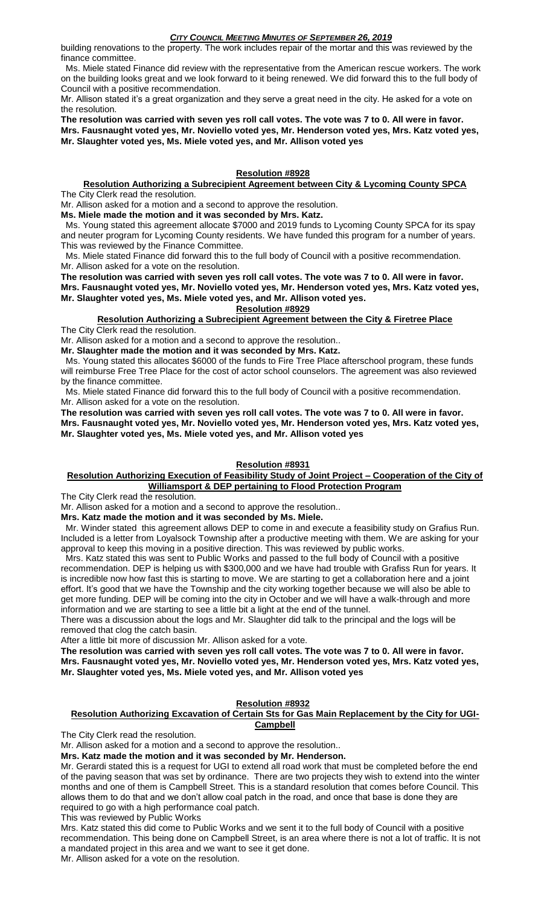building renovations to the property. The work includes repair of the mortar and this was reviewed by the finance committee.

 Ms. Miele stated Finance did review with the representative from the American rescue workers. The work on the building looks great and we look forward to it being renewed. We did forward this to the full body of Council with a positive recommendation.

Mr. Allison stated it's a great organization and they serve a great need in the city. He asked for a vote on the resolution.

**The resolution was carried with seven yes roll call votes. The vote was 7 to 0. All were in favor. Mrs. Fausnaught voted yes, Mr. Noviello voted yes, Mr. Henderson voted yes, Mrs. Katz voted yes, Mr. Slaughter voted yes, Ms. Miele voted yes, and Mr. Allison voted yes**

#### **Resolution #8928**

## **Resolution Authorizing a Subrecipient Agreement between City & Lycoming County SPCA**

The City Clerk read the resolution.

Mr. Allison asked for a motion and a second to approve the resolution.

**Ms. Miele made the motion and it was seconded by Mrs. Katz.**

 Ms. Young stated this agreement allocate \$7000 and 2019 funds to Lycoming County SPCA for its spay and neuter program for Lycoming County residents. We have funded this program for a number of years. This was reviewed by the Finance Committee.

 Ms. Miele stated Finance did forward this to the full body of Council with a positive recommendation. Mr. Allison asked for a vote on the resolution.

**The resolution was carried with seven yes roll call votes. The vote was 7 to 0. All were in favor. Mrs. Fausnaught voted yes, Mr. Noviello voted yes, Mr. Henderson voted yes, Mrs. Katz voted yes, Mr. Slaughter voted yes, Ms. Miele voted yes, and Mr. Allison voted yes. Resolution #8929**

**Resolution Authorizing a Subrecipient Agreement between the City & Firetree Place** The City Clerk read the resolution.

Mr. Allison asked for a motion and a second to approve the resolution.. **Mr. Slaughter made the motion and it was seconded by Mrs. Katz.**

 Ms. Young stated this allocates \$6000 of the funds to Fire Tree Place afterschool program, these funds will reimburse Free Tree Place for the cost of actor school counselors. The agreement was also reviewed by the finance committee.

 Ms. Miele stated Finance did forward this to the full body of Council with a positive recommendation. Mr. Allison asked for a vote on the resolution.

**The resolution was carried with seven yes roll call votes. The vote was 7 to 0. All were in favor. Mrs. Fausnaught voted yes, Mr. Noviello voted yes, Mr. Henderson voted yes, Mrs. Katz voted yes, Mr. Slaughter voted yes, Ms. Miele voted yes, and Mr. Allison voted yes**

## **Resolution #8931**

## **Resolution Authorizing Execution of Feasibility Study of Joint Project – Cooperation of the City of Williamsport & DEP pertaining to Flood Protection Program**

The City Clerk read the resolution.

Mr. Allison asked for a motion and a second to approve the resolution..

**Mrs. Katz made the motion and it was seconded by Ms. Miele.**

 Mr. Winder stated this agreement allows DEP to come in and execute a feasibility study on Grafius Run. Included is a letter from Loyalsock Township after a productive meeting with them. We are asking for your approval to keep this moving in a positive direction. This was reviewed by public works.

 Mrs. Katz stated this was sent to Public Works and passed to the full body of Council with a positive recommendation. DEP is helping us with \$300,000 and we have had trouble with Grafiss Run for years. It is incredible now how fast this is starting to move. We are starting to get a collaboration here and a joint effort. It's good that we have the Township and the city working together because we will also be able to get more funding. DEP will be coming into the city in October and we will have a walk-through and more information and we are starting to see a little bit a light at the end of the tunnel.

There was a discussion about the logs and Mr. Slaughter did talk to the principal and the logs will be removed that clog the catch basin.

After a little bit more of discussion Mr. Allison asked for a vote.

**The resolution was carried with seven yes roll call votes. The vote was 7 to 0. All were in favor. Mrs. Fausnaught voted yes, Mr. Noviello voted yes, Mr. Henderson voted yes, Mrs. Katz voted yes, Mr. Slaughter voted yes, Ms. Miele voted yes, and Mr. Allison voted yes**

## **Resolution #8932**

## **Resolution Authorizing Excavation of Certain Sts for Gas Main Replacement by the City for UGI-Campbell**

The City Clerk read the resolution.

Mr. Allison asked for a motion and a second to approve the resolution..

**Mrs. Katz made the motion and it was seconded by Mr. Henderson.**

Mr. Gerardi stated this is a request for UGI to extend all road work that must be completed before the end of the paving season that was set by ordinance. There are two projects they wish to extend into the winter months and one of them is Campbell Street. This is a standard resolution that comes before Council. This allows them to do that and we don't allow coal patch in the road, and once that base is done they are required to go with a high performance coal patch.

This was reviewed by Public Works

Mrs. Katz stated this did come to Public Works and we sent it to the full body of Council with a positive recommendation. This being done on Campbell Street, is an area where there is not a lot of traffic. It is not a mandated project in this area and we want to see it get done.

Mr. Allison asked for a vote on the resolution.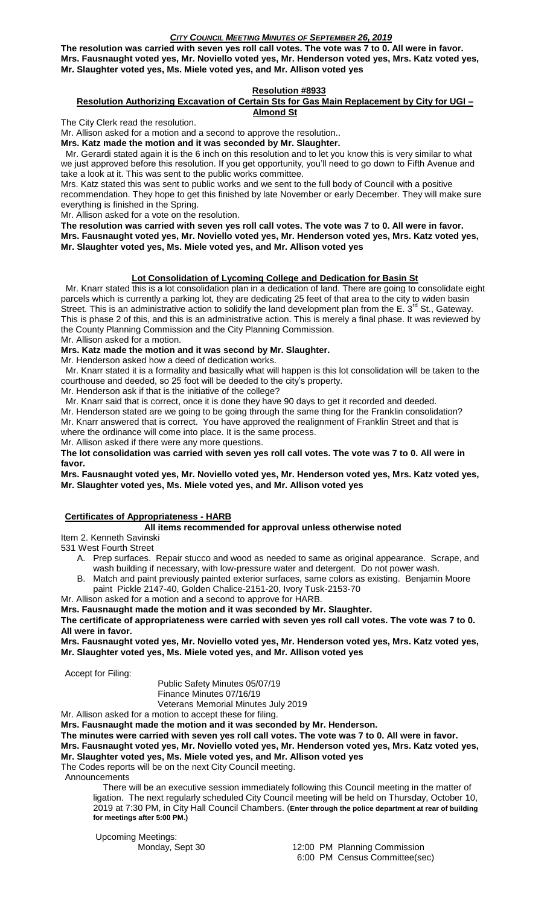**The resolution was carried with seven yes roll call votes. The vote was 7 to 0. All were in favor. Mrs. Fausnaught voted yes, Mr. Noviello voted yes, Mr. Henderson voted yes, Mrs. Katz voted yes, Mr. Slaughter voted yes, Ms. Miele voted yes, and Mr. Allison voted yes**

## **Resolution #8933**

#### **Resolution Authorizing Excavation of Certain Sts for Gas Main Replacement by City for UGI – Almond St**

The City Clerk read the resolution.

Mr. Allison asked for a motion and a second to approve the resolution..

**Mrs. Katz made the motion and it was seconded by Mr. Slaughter.**

 Mr. Gerardi stated again it is the 6 inch on this resolution and to let you know this is very similar to what we just approved before this resolution. If you get opportunity, you'll need to go down to Fifth Avenue and take a look at it. This was sent to the public works committee.

Mrs. Katz stated this was sent to public works and we sent to the full body of Council with a positive recommendation. They hope to get this finished by late November or early December. They will make sure everything is finished in the Spring.

Mr. Allison asked for a vote on the resolution.

**The resolution was carried with seven yes roll call votes. The vote was 7 to 0. All were in favor. Mrs. Fausnaught voted yes, Mr. Noviello voted yes, Mr. Henderson voted yes, Mrs. Katz voted yes, Mr. Slaughter voted yes, Ms. Miele voted yes, and Mr. Allison voted yes**

## **Lot Consolidation of Lycoming College and Dedication for Basin St**

 Mr. Knarr stated this is a lot consolidation plan in a dedication of land. There are going to consolidate eight parcels which is currently a parking lot, they are dedicating 25 feet of that area to the city to widen basin Street. This is an administrative action to solidify the land development plan from the E.  $3^{rd}$  St., Gateway. This is phase 2 of this, and this is an administrative action. This is merely a final phase. It was reviewed by the County Planning Commission and the City Planning Commission.

Mr. Allison asked for a motion.

#### **Mrs. Katz made the motion and it was second by Mr. Slaughter.**

Mr. Henderson asked how a deed of dedication works.

 Mr. Knarr stated it is a formality and basically what will happen is this lot consolidation will be taken to the courthouse and deeded, so 25 foot will be deeded to the city's property.

Mr. Henderson ask if that is the initiative of the college?

 Mr. Knarr said that is correct, once it is done they have 90 days to get it recorded and deeded. Mr. Henderson stated are we going to be going through the same thing for the Franklin consolidation? Mr. Knarr answered that is correct. You have approved the realignment of Franklin Street and that is where the ordinance will come into place. It is the same process.

Mr. Allison asked if there were any more questions.

**The lot consolidation was carried with seven yes roll call votes. The vote was 7 to 0. All were in favor.**

**Mrs. Fausnaught voted yes, Mr. Noviello voted yes, Mr. Henderson voted yes, Mrs. Katz voted yes, Mr. Slaughter voted yes, Ms. Miele voted yes, and Mr. Allison voted yes**

## **Certificates of Appropriateness - HARB**

## **All items recommended for approval unless otherwise noted**

Item 2. Kenneth Savinski

531 West Fourth Street

- A. Prep surfaces. Repair stucco and wood as needed to same as original appearance. Scrape, and wash building if necessary, with low-pressure water and detergent. Do not power wash.
- B. Match and paint previously painted exterior surfaces, same colors as existing. Benjamin Moore paint Pickle 2147-40, Golden Chalice-2151-20, Ivory Tusk-2153-70

Mr. Allison asked for a motion and a second to approve for HARB.

**Mrs. Fausnaught made the motion and it was seconded by Mr. Slaughter.**

**The certificate of appropriateness were carried with seven yes roll call votes. The vote was 7 to 0. All were in favor.**

**Mrs. Fausnaught voted yes, Mr. Noviello voted yes, Mr. Henderson voted yes, Mrs. Katz voted yes, Mr. Slaughter voted yes, Ms. Miele voted yes, and Mr. Allison voted yes**

Accept for Filing:

Public Safety Minutes 05/07/19 Finance Minutes 07/16/19 Veterans Memorial Minutes July 2019

Mr. Allison asked for a motion to accept these for filing.

**Mrs. Fausnaught made the motion and it was seconded by Mr. Henderson.**

**The minutes were carried with seven yes roll call votes. The vote was 7 to 0. All were in favor. Mrs. Fausnaught voted yes, Mr. Noviello voted yes, Mr. Henderson voted yes, Mrs. Katz voted yes, Mr. Slaughter voted yes, Ms. Miele voted yes, and Mr. Allison voted yes**

The Codes reports will be on the next City Council meeting.

Announcements

 There will be an executive session immediately following this Council meeting in the matter of ligation. The next regularly scheduled City Council meeting will be held on Thursday, October 10, 2019 at 7:30 PM, in City Hall Council Chambers. (**Enter through the police department at rear of building for meetings after 5:00 PM.)**

Upcoming Meetings: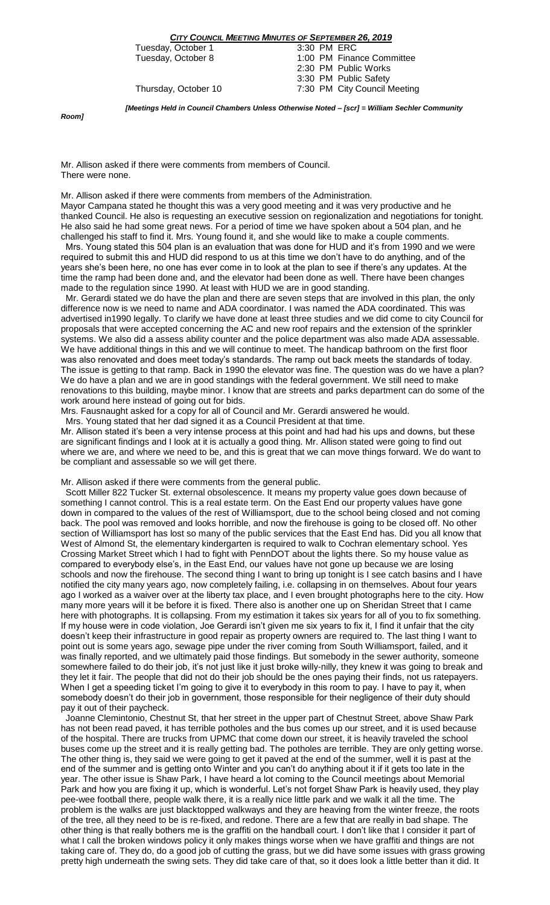Tuesday, October 1<br>Tuesday, October 8

1:00 PM Finance Committee 2:30 PM Public Works 3:30 PM Public Safety Thursday, October 10 7:30 PM City Council Meeting

*Room]*

*[Meetings Held in Council Chambers Unless Otherwise Noted – [scr] = William Sechler Community* 

Mr. Allison asked if there were comments from members of Council. There were none.

Mr. Allison asked if there were comments from members of the Administration. Mayor Campana stated he thought this was a very good meeting and it was very productive and he thanked Council. He also is requesting an executive session on regionalization and negotiations for tonight. He also said he had some great news. For a period of time we have spoken about a 504 plan, and he challenged his staff to find it. Mrs. Young found it, and she would like to make a couple comments.

 Mrs. Young stated this 504 plan is an evaluation that was done for HUD and it's from 1990 and we were required to submit this and HUD did respond to us at this time we don't have to do anything, and of the years she's been here, no one has ever come in to look at the plan to see if there's any updates. At the time the ramp had been done and, and the elevator had been done as well. There have been changes made to the regulation since 1990. At least with HUD we are in good standing.

 Mr. Gerardi stated we do have the plan and there are seven steps that are involved in this plan, the only difference now is we need to name and ADA coordinator. I was named the ADA coordinated. This was advertised in1990 legally. To clarify we have done at least three studies and we did come to city Council for proposals that were accepted concerning the AC and new roof repairs and the extension of the sprinkler systems. We also did a assess ability counter and the police department was also made ADA assessable. We have additional things in this and we will continue to meet. The handicap bathroom on the first floor was also renovated and does meet today's standards. The ramp out back meets the standards of today. The issue is getting to that ramp. Back in 1990 the elevator was fine. The question was do we have a plan? We do have a plan and we are in good standings with the federal government. We still need to make renovations to this building, maybe minor. I know that are streets and parks department can do some of the work around here instead of going out for bids.

Mrs. Fausnaught asked for a copy for all of Council and Mr. Gerardi answered he would.

Mrs. Young stated that her dad signed it as a Council President at that time.

Mr. Allison stated it's been a very intense process at this point and had had his ups and downs, but these are significant findings and I look at it is actually a good thing. Mr. Allison stated were going to find out where we are, and where we need to be, and this is great that we can move things forward. We do want to be compliant and assessable so we will get there.

Mr. Allison asked if there were comments from the general public.

 Scott Miller 822 Tucker St. external obsolescence. It means my property value goes down because of something I cannot control. This is a real estate term. On the East End our property values have gone down in compared to the values of the rest of Williamsport, due to the school being closed and not coming back. The pool was removed and looks horrible, and now the firehouse is going to be closed off. No other section of Williamsport has lost so many of the public services that the East End has. Did you all know that West of Almond St, the elementary kindergarten is required to walk to Cochran elementary school. Yes Crossing Market Street which I had to fight with PennDOT about the lights there. So my house value as compared to everybody else's, in the East End, our values have not gone up because we are losing schools and now the firehouse. The second thing I want to bring up tonight is I see catch basins and I have notified the city many years ago, now completely failing, i.e. collapsing in on themselves. About four years ago I worked as a waiver over at the liberty tax place, and I even brought photographs here to the city. How many more years will it be before it is fixed. There also is another one up on Sheridan Street that I came here with photographs. It is collapsing. From my estimation it takes six years for all of you to fix something. If my house were in code violation, Joe Gerardi isn't given me six years to fix it, I find it unfair that the city doesn't keep their infrastructure in good repair as property owners are required to. The last thing I want to point out is some years ago, sewage pipe under the river coming from South Williamsport, failed, and it was finally reported, and we ultimately paid those findings. But somebody in the sewer authority, someone somewhere failed to do their job, it's not just like it just broke willy-nilly, they knew it was going to break and they let it fair. The people that did not do their job should be the ones paying their finds, not us ratepayers. When I get a speeding ticket I'm going to give it to everybody in this room to pay. I have to pay it, when somebody doesn't do their job in government, those responsible for their negligence of their duty should pay it out of their paycheck.

 Joanne Clemintonio, Chestnut St, that her street in the upper part of Chestnut Street, above Shaw Park has not been read paved, it has terrible potholes and the bus comes up our street, and it is used because of the hospital. There are trucks from UPMC that come down our street, it is heavily traveled the school buses come up the street and it is really getting bad. The potholes are terrible. They are only getting worse. The other thing is, they said we were going to get it paved at the end of the summer, well it is past at the end of the summer and is getting onto Winter and you can't do anything about it if it gets too late in the year. The other issue is Shaw Park, I have heard a lot coming to the Council meetings about Memorial Park and how you are fixing it up, which is wonderful. Let's not forget Shaw Park is heavily used, they play pee-wee football there, people walk there, it is a really nice little park and we walk it all the time. The problem is the walks are just blacktopped walkways and they are heaving from the winter freeze, the roots of the tree, all they need to be is re-fixed, and redone. There are a few that are really in bad shape. The other thing is that really bothers me is the graffiti on the handball court. I don't like that I consider it part of what I call the broken windows policy it only makes things worse when we have graffiti and things are not taking care of. They do, do a good job of cutting the grass, but we did have some issues with grass growing pretty high underneath the swing sets. They did take care of that, so it does look a little better than it did. It